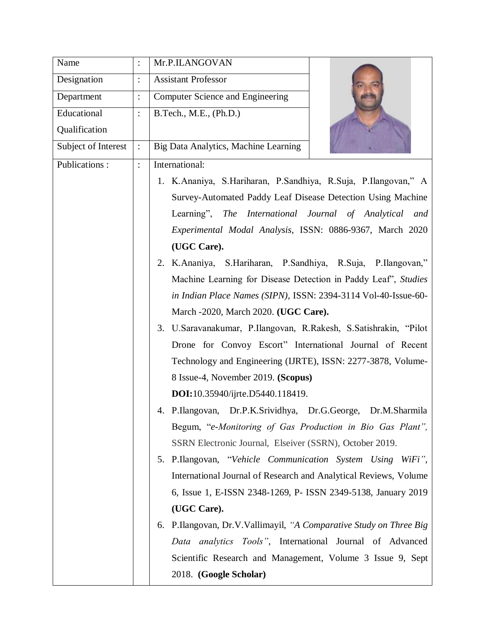| Name                |                | Mr.P.ILANGOVAN                                                     |
|---------------------|----------------|--------------------------------------------------------------------|
| Designation         |                | <b>Assistant Professor</b>                                         |
| Department          | $\vdots$       | Computer Science and Engineering                                   |
| Educational         |                | B.Tech., M.E., (Ph.D.)                                             |
| Qualification       |                |                                                                    |
| Subject of Interest |                | Big Data Analytics, Machine Learning                               |
| Publications:       | $\ddot{\cdot}$ | International:                                                     |
|                     |                | 1. K.Ananiya, S.Hariharan, P.Sandhiya, R.Suja, P.Ilangovan," A     |
|                     |                | Survey-Automated Paddy Leaf Disease Detection Using Machine        |
|                     |                | Learning", The International Journal of Analytical and             |
|                     |                | Experimental Modal Analysis, ISSN: 0886-9367, March 2020           |
|                     |                | (UGC Care).                                                        |
|                     |                | 2. K.Ananiya, S.Hariharan, P.Sandhiya, R.Suja, P.Ilangovan,"       |
|                     |                | Machine Learning for Disease Detection in Paddy Leaf', Studies     |
|                     |                | in Indian Place Names (SIPN), ISSN: 2394-3114 Vol-40-Issue-60-     |
|                     |                | March -2020, March 2020. (UGC Care).                               |
|                     |                | 3. U.Saravanakumar, P.Ilangovan, R.Rakesh, S.Satishrakin, "Pilot   |
|                     |                | Drone for Convoy Escort" International Journal of Recent           |
|                     |                | Technology and Engineering (IJRTE), ISSN: 2277-3878, Volume-       |
|                     |                | 8 Issue-4, November 2019. (Scopus)                                 |
|                     |                | <b>DOI:</b> 10.35940/ijrte.D5440.118419.                           |
|                     |                | P.Ilangovan, Dr.P.K.Srividhya, Dr.G.George, Dr.M.Sharmila          |
|                     |                | Begum, "e-Monitoring of Gas Production in Bio Gas Plant",          |
|                     |                | SSRN Electronic Journal, Elseiver (SSRN), October 2019.            |
|                     |                | 5. P.Ilangovan, "Vehicle Communication System Using WiFi",         |
|                     |                | International Journal of Research and Analytical Reviews, Volume   |
|                     |                | 6, Issue 1, E-ISSN 2348-1269, P- ISSN 2349-5138, January 2019      |
|                     |                | (UGC Care).                                                        |
|                     |                | 6. P.Ilangovan, Dr.V.Vallimayil, "A Comparative Study on Three Big |
|                     |                | Data analytics Tools", International Journal of Advanced           |
|                     |                | Scientific Research and Management, Volume 3 Issue 9, Sept         |
|                     |                | 2018. (Google Scholar)                                             |